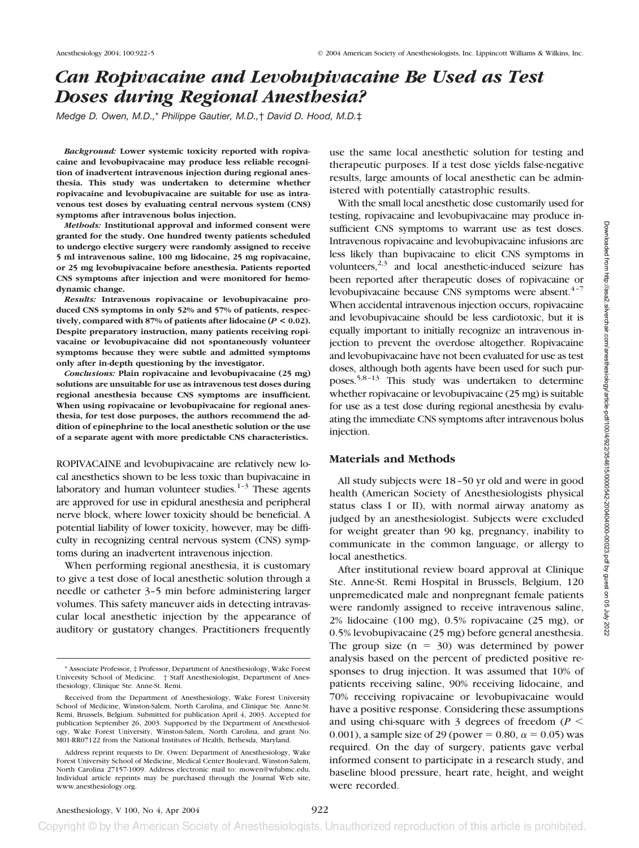# *Can Ropivacaine and Levobupivacaine Be Used as Test Doses during Regional Anesthesia?*

*Medge D. Owen, M.D.,*\* *Philippe Gautier, M.D.,*† *David D. Hood, M.D.*‡

*Background:* **Lower systemic toxicity reported with ropivacaine and levobupivacaine may produce less reliable recognition of inadvertent intravenous injection during regional anesthesia. This study was undertaken to determine whether ropivacaine and levobupivacaine are suitable for use as intravenous test doses by evaluating central nervous system (CNS) symptoms after intravenous bolus injection.**

*Methods:* **Institutional approval and informed consent were granted for the study. One hundred twenty patients scheduled to undergo elective surgery were randomly assigned to receive 5 ml intravenous saline, 100 mg lidocaine, 25 mg ropivacaine, or 25 mg levobupivacaine before anesthesia. Patients reported CNS symptoms after injection and were monitored for hemodynamic change.**

*Results:* **Intravenous ropivacaine or levobupivacaine produced CNS symptoms in only 52% and 57% of patients, respectively, compared with 87% of patients after lidocaine (***P* **< 0.02). Despite preparatory instruction, many patients receiving ropivacaine or levobupivacaine did not spontaneously volunteer symptoms because they were subtle and admitted symptoms only after in-depth questioning by the investigator.**

*Conclusions:* **Plain ropivacaine and levobupivacaine (25 mg) solutions are unsuitable for use as intravenous test doses during regional anesthesia because CNS symptoms are insufficient. When using ropivacaine or levobupivacaine for regional anesthesia, for test dose purposes, the authors recommend the addition of epinephrine to the local anesthetic solution or the use of a separate agent with more predictable CNS characteristics.**

ROPIVACAINE and levobupivacaine are relatively new local anesthetics shown to be less toxic than bupivacaine in laboratory and human volunteer studies. $1-3$  These agents are approved for use in epidural anesthesia and peripheral nerve block, where lower toxicity should be beneficial. A potential liability of lower toxicity, however, may be difficulty in recognizing central nervous system (CNS) symptoms during an inadvertent intravenous injection.

When performing regional anesthesia, it is customary to give a test dose of local anesthetic solution through a needle or catheter 3–5 min before administering larger volumes. This safety maneuver aids in detecting intravascular local anesthetic injection by the appearance of auditory or gustatory changes. Practitioners frequently

use the same local anesthetic solution for testing and therapeutic purposes. If a test dose yields false-negative results, large amounts of local anesthetic can be administered with potentially catastrophic results.

With the small local anesthetic dose customarily used for testing, ropivacaine and levobupivacaine may produce insufficient CNS symptoms to warrant use as test doses. Intravenous ropivacaine and levobupivacaine infusions are less likely than bupivacaine to elicit CNS symptoms in volunteers, $2,3$  and local anesthetic-induced seizure has been reported after therapeutic doses of ropivacaine or levobupivacaine because CNS symptoms were absent.<sup>4-7</sup> When accidental intravenous injection occurs, ropivacaine and levobupivacaine should be less cardiotoxic, but it is equally important to initially recognize an intravenous injection to prevent the overdose altogether. Ropivacaine and levobupivacaine have not been evaluated for use as test doses, although both agents have been used for such purposes.<sup>5,8-13</sup> This study was undertaken to determine whether ropivacaine or levobupivacaine (25 mg) is suitable for use as a test dose during regional anesthesia by evaluating the immediate CNS symptoms after intravenous bolus injection.

# **Materials and Methods**

All study subjects were 18–50 yr old and were in good health (American Society of Anesthesiologists physical status class I or II), with normal airway anatomy as judged by an anesthesiologist. Subjects were excluded for weight greater than 90 kg, pregnancy, inability to communicate in the common language, or allergy to local anesthetics.

After institutional review board approval at Clinique Ste. Anne-St. Remi Hospital in Brussels, Belgium, 120 unpremedicated male and nonpregnant female patients were randomly assigned to receive intravenous saline, 2% lidocaine (100 mg), 0.5% ropivacaine (25 mg), or 0.5% levobupivacaine (25 mg) before general anesthesia. The group size  $(n = 30)$  was determined by power analysis based on the percent of predicted positive responses to drug injection. It was assumed that 10% of patients receiving saline, 90% receiving lidocaine, and 70% receiving ropivacaine or levobupivacaine would have a positive response. Considering these assumptions and using chi-square with 3 degrees of freedom ( $P <$ 0.001), a sample size of 29 (power = 0.80,  $\alpha$  = 0.05) was required. On the day of surgery, patients gave verbal informed consent to participate in a research study, and baseline blood pressure, heart rate, height, and weight were recorded.

<sup>\*</sup> Associate Professor, ‡ Professor, Department of Anesthesiology, Wake Forest University School of Medicine. † Staff Anesthesiologist, Department of Anesthesiology, Clinique Ste. Anne-St. Remi.

Received from the Department of Anesthesiology, Wake Forest University School of Medicine, Winston-Salem, North Carolina, and Clinique Ste. Anne-St. Remi, Brussels, Belgium. Submitted for publication April 4, 2003. Accepted for publication September 26, 2003. Supported by the Department of Anesthesiology, Wake Forest University, Winston-Salem, North Carolina, and grant No. M01-RR07122 from the National Institutes of Health, Bethesda, Maryland.

Address reprint requests to Dr. Owen: Department of Anesthesiology, Wake Forest University School of Medicine, Medical Center Boulevard, Winston-Salem, North Carolina 27157-1009. Address electronic mail to: mowen@wfubmc.edu. Individual article reprints may be purchased through the Journal Web site, www.anesthesiology.org.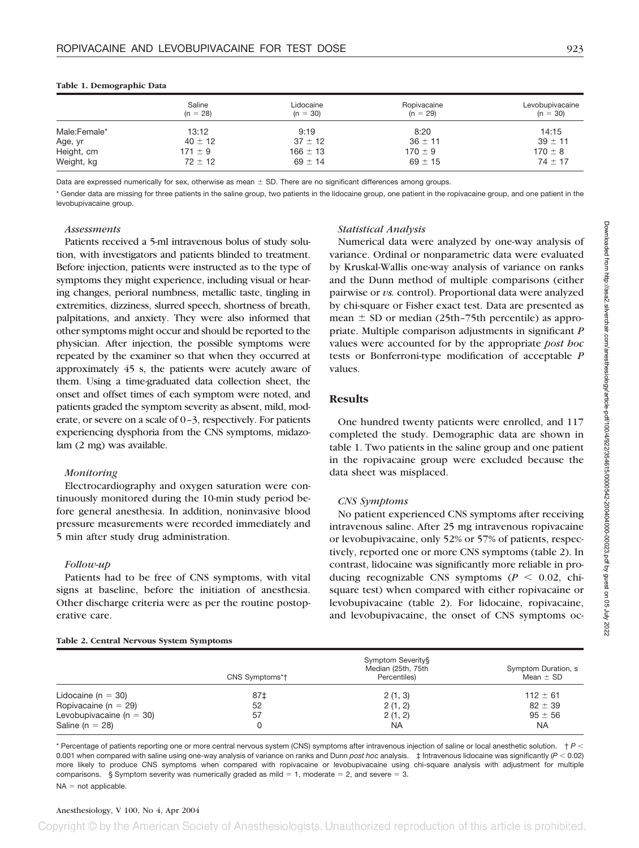|              | Saline<br>$(n = 28)$ | Lidocaine<br>$(n = 30)$ | Ropivacaine<br>$(n = 29)$ | Levobupivacaine<br>$(n = 30)$ |
|--------------|----------------------|-------------------------|---------------------------|-------------------------------|
| Male:Female* | 13:12                | 9:19                    | 8:20                      | 14:15                         |
| Age, yr      | $40 \pm 12$          | $37 \pm 12$             | $36 \pm 11$               | $39 \pm 11$                   |
| Height, cm   | $171 \pm 9$          | $166 \pm 13$            | $170 \pm 9$               | $170 \pm 8$                   |
| Weight, kg   | $72 \pm 12$          | $69 \pm 14$             | $69 \pm 15$               | $74 \pm 17$                   |

#### **Table 1. Demographic Data**

Data are expressed numerically for sex, otherwise as mean  $\pm$  SD. There are no significant differences among groups.

\* Gender data are missing for three patients in the saline group, two patients in the lidocaine group, one patient in the ropivacaine group, and one patient in the levobupivacaine group.

#### *Assessments*

Patients received a 5-ml intravenous bolus of study solution, with investigators and patients blinded to treatment. Before injection, patients were instructed as to the type of symptoms they might experience, including visual or hearing changes, perioral numbness, metallic taste, tingling in extremities, dizziness, slurred speech, shortness of breath, palpitations, and anxiety. They were also informed that other symptoms might occur and should be reported to the physician. After injection, the possible symptoms were repeated by the examiner so that when they occurred at approximately 45 s, the patients were acutely aware of them. Using a time-graduated data collection sheet, the onset and offset times of each symptom were noted, and patients graded the symptom severity as absent, mild, moderate, or severe on a scale of 0–3, respectively. For patients experiencing dysphoria from the CNS symptoms, midazolam (2 mg) was available.

## *Monitoring*

Electrocardiography and oxygen saturation were continuously monitored during the 10-min study period before general anesthesia. In addition, noninvasive blood pressure measurements were recorded immediately and 5 min after study drug administration.

# *Follow-up*

Patients had to be free of CNS symptoms, with vital signs at baseline, before the initiation of anesthesia. Other discharge criteria were as per the routine postoperative care.

## **Table 2. Central Nervous System Symptoms**

# *Statistical Analysis*

Numerical data were analyzed by one-way analysis of variance. Ordinal or nonparametric data were evaluated by Kruskal-Wallis one-way analysis of variance on ranks and the Dunn method of multiple comparisons (either pairwise or *vs.* control). Proportional data were analyzed by chi-square or Fisher exact test. Data are presented as mean  $\pm$  SD or median (25th–75th percentile) as appropriate. Multiple comparison adjustments in significant *P* values were accounted for by the appropriate *post hoc* tests or Bonferroni-type modification of acceptable *P* values.

# **Results**

One hundred twenty patients were enrolled, and 117 completed the study. Demographic data are shown in table 1. Two patients in the saline group and one patient in the ropivacaine group were excluded because the data sheet was misplaced.

## *CNS Symptoms*

No patient experienced CNS symptoms after receiving intravenous saline. After 25 mg intravenous ropivacaine or levobupivacaine, only 52% or 57% of patients, respectively, reported one or more CNS symptoms (table 2). In contrast, lidocaine was significantly more reliable in producing recognizable CNS symptoms ( $P < 0.02$ , chisquare test) when compared with either ropivacaine or levobupivacaine (table 2). For lidocaine, ropivacaine, and levobupivacaine, the onset of CNS symptoms oc-

|                              | CNS Symptoms*† | Symptom Severity§<br>Median (25th, 75th<br>Percentiles) | Symptom Duration, s<br>Mean $\pm$ SD |
|------------------------------|----------------|---------------------------------------------------------|--------------------------------------|
| Lidocaine ( $n = 30$ )       | 87‡            | 2(1, 3)                                                 | $112 \pm 61$                         |
| Ropivacaine (n = 29)         | 52             | 2(1, 2)                                                 | $82 \pm 39$                          |
| Levobupivacaine ( $n = 30$ ) | 57             | 2(1, 2)                                                 | $95 \pm 56$                          |
| Saline ( $n = 28$ )          |                | <b>NA</b>                                               | NA.                                  |

 $^\ast$  Percentage of patients reporting one or more central nervous system (CNS) symptoms after intravenous injection of saline or local anesthetic solution.  $\,$  †  $P$   $<$ 0.001 when compared with saline using one-way analysis of variance on ranks and Dunn *post hoc* analysis. ‡ Intravenous lidocaine was significantly (*P* - 0.02) more likely to produce CNS symptoms when compared with ropivacaine or levobupivacaine using chi-square analysis with adjustment for multiple comparisons. § Symptom severity was numerically graded as mild  $= 1$ , moderate  $= 2$ , and severe  $= 3$ .  $NA = not applicable.$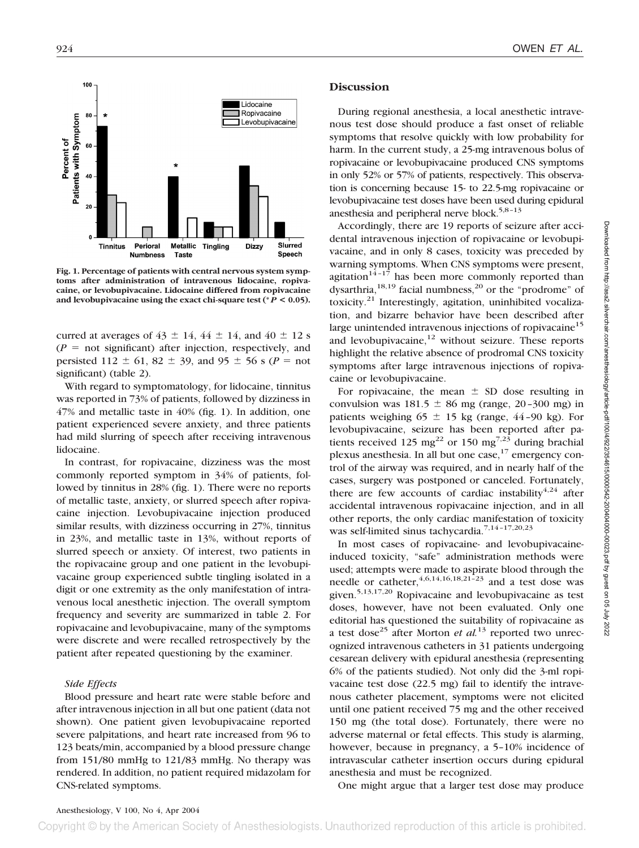

**Fig. 1. Percentage of patients with central nervous system symptoms after administration of intravenous lidocaine, ropivacaine, or levobupivacaine. Lidocaine differed from ropivacaine** and levobupivacaine using the exact chi-square test ( ${}^*P$  < 0.05).

curred at averages of  $43 \pm 14$ ,  $44 \pm 14$ , and  $40 \pm 12$  s  $(P =$  not significant) after injection, respectively, and persisted 112  $\pm$  61, 82  $\pm$  39, and 95  $\pm$  56 s (*P* = not significant) (table 2).

With regard to symptomatology, for lidocaine, tinnitus was reported in 73% of patients, followed by dizziness in 47% and metallic taste in 40% (fig. 1). In addition, one patient experienced severe anxiety, and three patients had mild slurring of speech after receiving intravenous lidocaine.

In contrast, for ropivacaine, dizziness was the most commonly reported symptom in 34% of patients, followed by tinnitus in 28% (fig. 1). There were no reports of metallic taste, anxiety, or slurred speech after ropivacaine injection. Levobupivacaine injection produced similar results, with dizziness occurring in 27%, tinnitus in 23%, and metallic taste in 13%, without reports of slurred speech or anxiety. Of interest, two patients in the ropivacaine group and one patient in the levobupivacaine group experienced subtle tingling isolated in a digit or one extremity as the only manifestation of intravenous local anesthetic injection. The overall symptom frequency and severity are summarized in table 2. For ropivacaine and levobupivacaine, many of the symptoms were discrete and were recalled retrospectively by the patient after repeated questioning by the examiner.

## *Side Effects*

Blood pressure and heart rate were stable before and after intravenous injection in all but one patient (data not shown). One patient given levobupivacaine reported severe palpitations, and heart rate increased from 96 to 123 beats/min, accompanied by a blood pressure change from 151/80 mmHg to 121/83 mmHg. No therapy was rendered. In addition, no patient required midazolam for CNS-related symptoms.

#### **Discussion**

During regional anesthesia, a local anesthetic intravenous test dose should produce a fast onset of reliable symptoms that resolve quickly with low probability for harm. In the current study, a 25-mg intravenous bolus of ropivacaine or levobupivacaine produced CNS symptoms in only 52% or 57% of patients, respectively. This observation is concerning because 15- to 22.5-mg ropivacaine or levobupivacaine test doses have been used during epidural anesthesia and peripheral nerve block.<sup>5,8-13</sup>

Accordingly, there are 19 reports of seizure after accidental intravenous injection of ropivacaine or levobupivacaine, and in only 8 cases, toxicity was preceded by warning symptoms. When CNS symptoms were present, agitation<sup>14-17</sup> has been more commonly reported than dysarthria,<sup>18,19</sup> facial numbness,<sup>20</sup> or the "prodrome" of toxicity.<sup>21</sup> Interestingly, agitation, uninhibited vocalization, and bizarre behavior have been described after large unintended intravenous injections of ropivacaine<sup>15</sup> and levobupivacaine, $12$  without seizure. These reports highlight the relative absence of prodromal CNS toxicity symptoms after large intravenous injections of ropivacaine or levobupivacaine.

For ropivacaine, the mean  $\pm$  SD dose resulting in convulsion was  $181.5 \pm 86$  mg (range, 20–300 mg) in patients weighing  $65 \pm 15$  kg (range, 44-90 kg). For levobupivacaine, seizure has been reported after patients received 125 mg<sup>22</sup> or 150 mg<sup>7,23</sup> during brachial plexus anesthesia. In all but one case,<sup>17</sup> emergency control of the airway was required, and in nearly half of the cases, surgery was postponed or canceled. Fortunately, there are few accounts of cardiac instability<sup>4,24</sup> after accidental intravenous ropivacaine injection, and in all other reports, the only cardiac manifestation of toxicity was self-limited sinus tachycardia.<sup>7,14-17,20,23</sup>

In most cases of ropivacaine- and levobupivacaineinduced toxicity, "safe" administration methods were used; attempts were made to aspirate blood through the needle or catheter,  $4,6,14,16,18,21$ <sup>-23</sup> and a test dose was given.<sup>5,13,17,20</sup> Ropivacaine and levobupivacaine as test doses, however, have not been evaluated. Only one editorial has questioned the suitability of ropivacaine as a test dose<sup>25</sup> after Morton *et al.*<sup>13</sup> reported two unrecognized intravenous catheters in 31 patients undergoing cesarean delivery with epidural anesthesia (representing 6% of the patients studied). Not only did the 3-ml ropivacaine test dose (22.5 mg) fail to identify the intravenous catheter placement, symptoms were not elicited until one patient received 75 mg and the other received 150 mg (the total dose). Fortunately, there were no adverse maternal or fetal effects. This study is alarming, however, because in pregnancy, a 5–10% incidence of intravascular catheter insertion occurs during epidural anesthesia and must be recognized.

One might argue that a larger test dose may produce